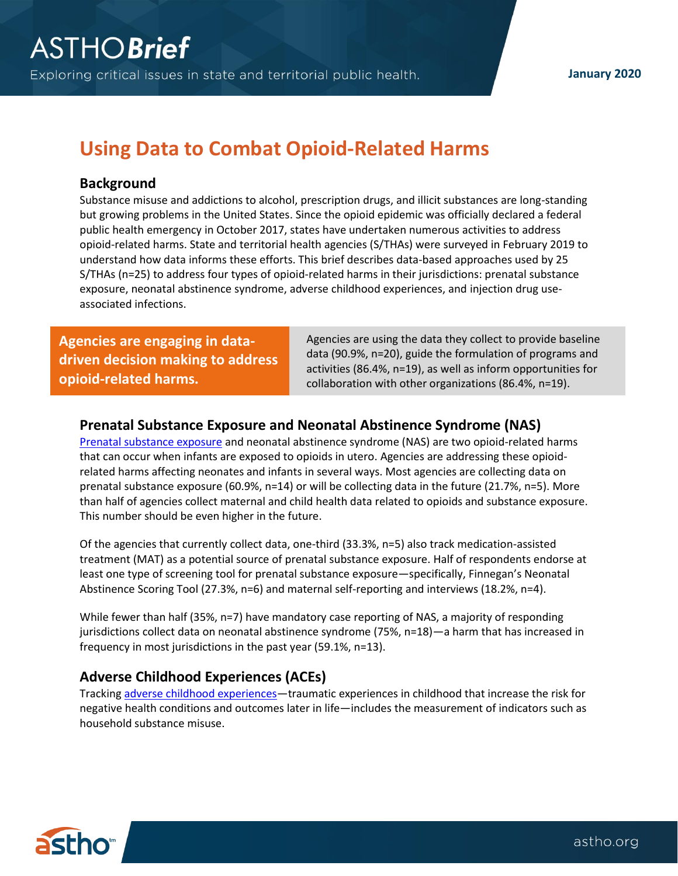# **Using Data to Combat Opioid-Related Harms**

## **Background**

Substance misuse and addictions to alcohol, prescription drugs, and illicit substances are long-standing but growing problems in the United States. Since the opioid epidemic was officially declared a federal public health emergency in October 2017, states have undertaken numerous activities to address opioid-related harms. State and territorial health agencies (S/THAs) were surveyed in February 2019 to understand how data informs these efforts. This brief describes data-based approaches used by 25 S/THAs (n=25) to address four types of opioid-related harms in their jurisdictions: prenatal substance exposure, neonatal abstinence syndrome, adverse childhood experiences, and injection drug useassociated infections.

**Agencies are engaging in datadriven decision making to address opioid-related harms.**

 Agencies are using the data they collect to provide baseline data (90.9%, n=20), guide the formulation of programs and activities (86.4%, n=19), as well as inform opportunities for collaboration with other organizations (86.4%, n=19).

## **Prenatal Substance Exposure and Neonatal Abstinence Syndrome (NAS)**

[Prenatal substance exposure](https://www.cffutures.org/infants-with-prenatal-substance-exposure/) and neonatal abstinence syndrome (NAS) are two opioid-related harms that can occur when infants are exposed to opioids in utero. Agencies are addressing these opioidrelated harms affecting neonates and infants in several ways. Most agencies are collecting data on prenatal substance exposure (60.9%, n=14) or will be collecting data in the future (21.7%, n=5). More than half of agencies collect maternal and child health data related to opioids and substance exposure. This number should be even higher in the future.

Of the agencies that currently collect data, one-third (33.3%, n=5) also track medication-assisted treatment (MAT) as a potential source of prenatal substance exposure. Half of respondents endorse at least one type of screening tool for prenatal substance exposure—specifically, Finnegan's Neonatal Abstinence Scoring Tool (27.3%, n=6) and maternal self-reporting and interviews (18.2%, n=4).

While fewer than half (35%, n=7) have mandatory case reporting of NAS, a majority of responding jurisdictions collect data on neonatal abstinence syndrome (75%, n=18)—a harm that has increased in frequency in most jurisdictions in the past year (59.1%, n=13).

## **Adverse Childhood Experiences (ACEs)**

Tracking [adverse childhood experiences](https://www.cdc.gov/violenceprevention/childabuseandneglect/acestudy/aboutace.html)—traumatic experiences in childhood that increase the risk for negative health conditions and outcomes later in life—includes the measurement of indicators such as household substance misuse.